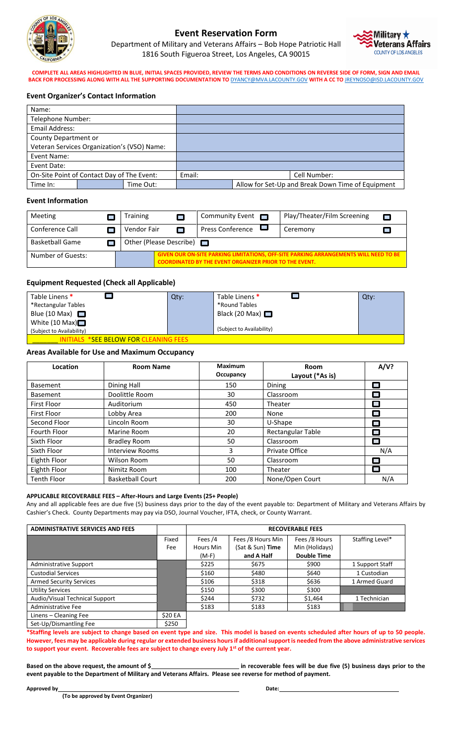

# **Event Reservation Form**

Department of Military and Veterans Affairs – Bob Hope Patriotic Hall 1816 South Figueroa Street, Los Angeles, CA 90015



**COMPLETE ALL AREAS HIGHLIGHTED IN BLUE, INITIAL SPACES PROVIDED, REVIEW THE TERMS AND CONDITIONS ON REVERSE SIDE OF FORM, SIGN AND EMAIL BACK FOR PROCESSING ALONG WITH ALL THE SUPPORTING DOCUMENTATION TO** [DYANCY@MVA.LACOUNTY.GOV](mailto:DYANCY@MVA.LACOUNTY.GOV) **WITH A CC TO** [JREYNOSO@ISD.LACOUNTY.GOV](mailto:JREYNOSO@ISD.LACOUNTY.GOV)

### **Event Organizer's Contact Information**

| Name:                                       |  |           |              |                                                   |
|---------------------------------------------|--|-----------|--------------|---------------------------------------------------|
| Telephone Number:                           |  |           |              |                                                   |
| Email Address:                              |  |           |              |                                                   |
| County Department or                        |  |           |              |                                                   |
| Veteran Services Organization's (VSO) Name: |  |           |              |                                                   |
| Event Name:                                 |  |           |              |                                                   |
| Event Date:                                 |  |           |              |                                                   |
| On-Site Point of Contact Day of The Event:  |  | Email:    | Cell Number: |                                                   |
| Time In:                                    |  | Time Out: |              | Allow for Set-Up and Break Down Time of Equipment |

### **Event Information**

| Meeting                |  | Training                |   | Community Event $\Box$                                                                                                                                       |  | Play/Theater/Film Screening |  |
|------------------------|--|-------------------------|---|--------------------------------------------------------------------------------------------------------------------------------------------------------------|--|-----------------------------|--|
| Conference Call        |  | Vendor Fair             | П | <b>Press Conference</b>                                                                                                                                      |  | Ceremony                    |  |
| <b>Basketball Game</b> |  | Other (Please Describe) |   |                                                                                                                                                              |  |                             |  |
| Number of Guests:      |  |                         |   | <b>GIVEN OUR ON-SITE PARKING LIMITATIONS, OFF-SITE PARKING ARRANGEMENTS WILL NEED TO BE</b><br><b>COORDINATED BY THE EVENT ORGANIZER PRIOR TO THE EVENT.</b> |  |                             |  |

### **Equipment Requested (Check all Applicable)**

| Table Linens <sup>*</sup>             | Qty: | Table Linens <sup>*</sup> | $Q$ ty: |  |  |
|---------------------------------------|------|---------------------------|---------|--|--|
| *Rectangular Tables                   |      | *Round Tables             |         |  |  |
| Blue (10 Max) $\Box$                  |      | Black (20 Max) $\Box$     |         |  |  |
| White (10 Max) $\Box$                 |      |                           |         |  |  |
| (Subject to Availability)             |      | (Subject to Availability) |         |  |  |
| INITIALS *SEE BELOW FOR CLEANING FEES |      |                           |         |  |  |

### **Areas Available for Use and Maximum Occupancy**

| Location           | <b>Room Name</b>        | <b>Maximum</b><br>Occupancy | Room<br>Layout (*As is) | A/V?             |
|--------------------|-------------------------|-----------------------------|-------------------------|------------------|
| <b>Basement</b>    | Dining Hall             | 150                         | Dining                  |                  |
| <b>Basement</b>    | Doolittle Room          | 30                          | Classroom               | <b>The State</b> |
| <b>First Floor</b> | Auditorium              | 450                         | Theater                 |                  |
| <b>First Floor</b> | Lobby Area              | 200                         | None                    |                  |
| Second Floor       | Lincoln Room            | 30                          | U-Shape                 |                  |
| Fourth Floor       | Marine Room             | 20                          | Rectangular Table       | П                |
| Sixth Floor        | <b>Bradley Room</b>     | 50                          | Classroom               |                  |
| Sixth Floor        | <b>Interview Rooms</b>  | 3                           | Private Office          | N/A              |
| Eighth Floor       | Wilson Room             | 50                          | Classroom               |                  |
| Eighth Floor       | Nimitz Room             | 100                         | Theater                 | <b>Tara</b>      |
| <b>Tenth Floor</b> | <b>Basketball Court</b> | 200                         | None/Open Court         | N/A              |

#### **APPLICABLE RECOVERABLE FEES – After-Hours and Large Events (25+ People)**

Any and all applicable fees are due five (5) business days prior to the day of the event payable to: Department of Military and Veterans Affairs by Cashier's Check. County Departments may pay via DSO, Journal Voucher, IFTA, check, or County Warrant.

| <b>ADMINISTRATIVE SERVICES AND FEES</b> |         | <b>RECOVERABLE FEES</b> |                   |                    |                 |  |
|-----------------------------------------|---------|-------------------------|-------------------|--------------------|-----------------|--|
|                                         | Fixed   | Fees $/4$               | Fees /8 Hours Min | Fees /8 Hours      | Staffing Level* |  |
|                                         | Fee     | Hours Min               | (Sat & Sun) Time  | Min (Holidays)     |                 |  |
|                                         |         | (M-F)                   | and A Half        | <b>Double Time</b> |                 |  |
| <b>Administrative Support</b>           |         | \$225                   | \$675             | \$900              | 1 Support Staff |  |
| <b>Custodial Services</b>               |         | \$160                   | \$480             | \$640              | 1 Custodian     |  |
| <b>Armed Security Services</b>          |         | \$106                   | \$318             | \$636              | 1 Armed Guard   |  |
| <b>Utility Services</b>                 |         | \$150                   | \$300             | \$300              |                 |  |
| Audio/Visual Technical Support          |         | \$244                   | \$732             | \$1,464            | 1 Technician    |  |
| Administrative Fee                      |         | \$183                   | \$183             | \$183              |                 |  |
| Linens - Cleaning Fee                   | \$20 EA |                         |                   |                    |                 |  |

Set-Up/Dismantling Fee \$250

**\*Staffing levels are subject to change based on event type and size. This model is based on events scheduled after hours of up to 50 people. However, fees may be applicable during regular or extended business hours if additional support is needed from the above administrative services to support your event. Recoverable fees are subject to change every July 1st of the current year.**

**Based on the above request, the amount of \$ in recoverable fees will be due five (5) business days prior to the event payable to the Department of Military and Veterans Affairs. Please see reverse for method of payment.**

**Approved by Date: Date: Date: Date: Date: Date: Date: Date: Date: Date: Date: Date: Date: Date: Date: Date: Date: Date: Date: Date: Date: Date: Date: Date: Date: Date:**

 **(To be approved by Event Organizer)**